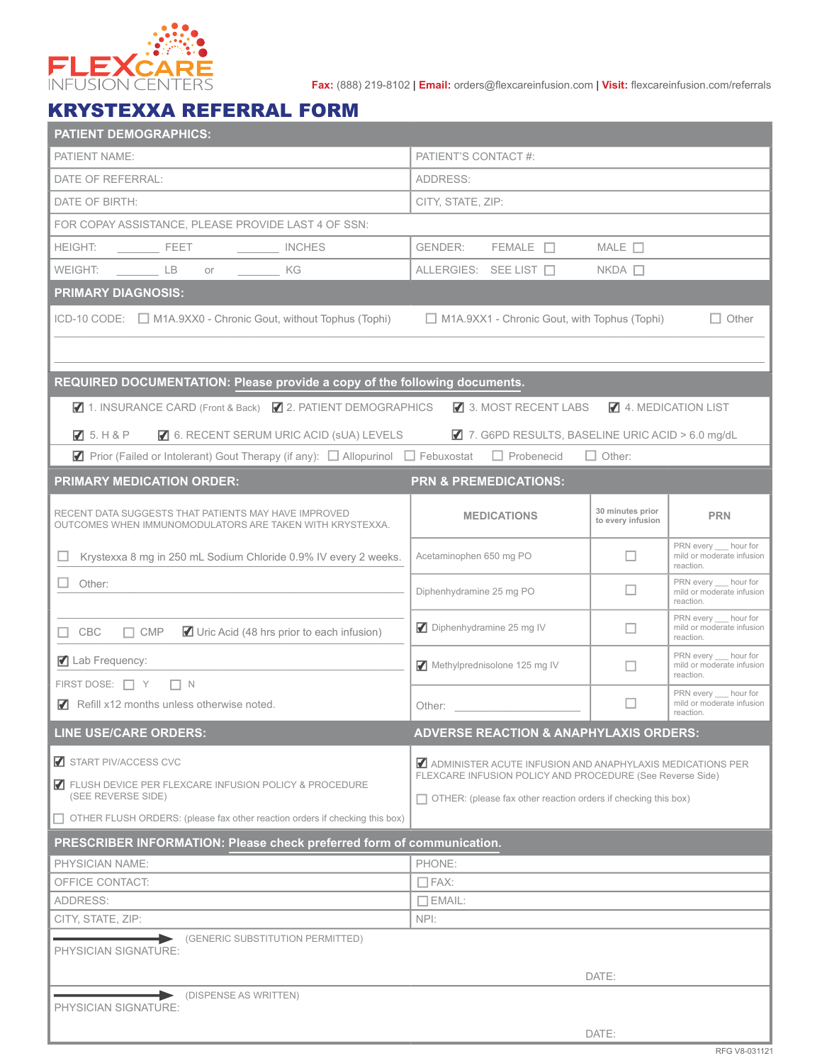

**Fax:** (888) 219-8102 | **Email:** orders@flexcareinfusion.com | **Visit:** flexcareinfusion.com/referrals

## KRYSTEXXA REFERRAL FORM

| <b>PATIENT DEMOGRAPHICS:</b>                                                                                                        |                                                                                                                                                                                                                                |                                       |                                                                  |  |  |  |  |  |
|-------------------------------------------------------------------------------------------------------------------------------------|--------------------------------------------------------------------------------------------------------------------------------------------------------------------------------------------------------------------------------|---------------------------------------|------------------------------------------------------------------|--|--|--|--|--|
| PATIENT NAME:                                                                                                                       | PATIENT'S CONTACT #:                                                                                                                                                                                                           |                                       |                                                                  |  |  |  |  |  |
| DATE OF REFERRAL:                                                                                                                   | ADDRESS:                                                                                                                                                                                                                       |                                       |                                                                  |  |  |  |  |  |
| DATE OF BIRTH:                                                                                                                      | CITY, STATE, ZIP:                                                                                                                                                                                                              |                                       |                                                                  |  |  |  |  |  |
| FOR COPAY ASSISTANCE. PLEASE PROVIDE LAST 4 OF SSN:                                                                                 |                                                                                                                                                                                                                                |                                       |                                                                  |  |  |  |  |  |
| <b>HEIGHT:</b><br><b>EXECUTE:</b><br>INCHES                                                                                         | $FEMALE$ $\Box$<br>GENDER:<br>MALE $\Box$                                                                                                                                                                                      |                                       |                                                                  |  |  |  |  |  |
| LB<br>WEIGHT:<br>KG KG<br>or                                                                                                        | ALLERGIES: SEE LIST                                                                                                                                                                                                            | $NKDA$ $\Box$                         |                                                                  |  |  |  |  |  |
| <b>PRIMARY DIAGNOSIS:</b>                                                                                                           |                                                                                                                                                                                                                                |                                       |                                                                  |  |  |  |  |  |
| ICD-10 CODE: M1A.9XX0 - Chronic Gout, without Tophus (Tophi)<br>$\Box$ M1A.9XX1 - Chronic Gout, with Tophus (Tophi)<br>$\Box$ Other |                                                                                                                                                                                                                                |                                       |                                                                  |  |  |  |  |  |
|                                                                                                                                     |                                                                                                                                                                                                                                |                                       |                                                                  |  |  |  |  |  |
| REQUIRED DOCUMENTATION: Please provide a copy of the following documents.                                                           |                                                                                                                                                                                                                                |                                       |                                                                  |  |  |  |  |  |
| ■ 1. INSURANCE CARD (Front & Back) ■ 2. PATIENT DEMOGRAPHICS<br>3. MOST RECENT LABS<br>4. MEDICATION LIST                           |                                                                                                                                                                                                                                |                                       |                                                                  |  |  |  |  |  |
| ☑ 6. RECENT SERUM URIC ACID (sUA) LEVELS<br>75. H8P                                                                                 | 7. G6PD RESULTS, BASELINE URIC ACID > 6.0 mg/dL                                                                                                                                                                                |                                       |                                                                  |  |  |  |  |  |
| <b>7</b> Prior (Failed or Intolerant) Gout Therapy (if any): $\Box$ Allopurinol $\Box$ Febuxostat $\Box$ Probenecid                 |                                                                                                                                                                                                                                | $\Box$ Other:                         |                                                                  |  |  |  |  |  |
| <b>PRIMARY MEDICATION ORDER:</b>                                                                                                    | <b>PRN &amp; PREMEDICATIONS:</b>                                                                                                                                                                                               |                                       |                                                                  |  |  |  |  |  |
| RECENT DATA SUGGESTS THAT PATIENTS MAY HAVE IMPROVED<br>OUTCOMES WHEN IMMUNOMODULATORS ARE TAKEN WITH KRYSTEXXA.                    | <b>MEDICATIONS</b>                                                                                                                                                                                                             | 30 minutes prior<br>to every infusion | <b>PRN</b>                                                       |  |  |  |  |  |
| Krystexxa 8 mg in 250 mL Sodium Chloride 0.9% IV every 2 weeks.                                                                     | Acetaminophen 650 mg PO                                                                                                                                                                                                        |                                       | PRN every ___ hour for<br>mild or moderate infusion<br>reaction. |  |  |  |  |  |
| $\Box$ Other:                                                                                                                       | Diphenhydramine 25 mg PO                                                                                                                                                                                                       | □                                     | PRN every __ hour for<br>mild or moderate infusion<br>reaction.  |  |  |  |  |  |
| $\Box$ CMP<br>■ Uric Acid (48 hrs prior to each infusion)<br>$\sqcap$ CBC                                                           | Diphenhydramine 25 mg IV                                                                                                                                                                                                       |                                       | PRN every __ hour for<br>mild or moderate infusion<br>reaction.  |  |  |  |  |  |
| Lab Frequency:                                                                                                                      | Methylprednisolone 125 mg IV                                                                                                                                                                                                   |                                       | PRN every hour for<br>mild or moderate infusion<br>reaction.     |  |  |  |  |  |
| FIRST DOSE: □ Y □ N<br>Refill x12 months unless otherwise noted.                                                                    | Other: and the control of the control of the control of the control of the control of the control of the control of the control of the control of the control of the control of the control of the control of the control of t |                                       | PRN every hour for<br>mild or moderate infusion                  |  |  |  |  |  |
| <b>LINE USE/CARE ORDERS:</b>                                                                                                        |                                                                                                                                                                                                                                | reaction.                             |                                                                  |  |  |  |  |  |
| START PIV/ACCESS CVC                                                                                                                | <b>ADVERSE REACTION &amp; ANAPHYLAXIS ORDERS:</b><br>ADMINISTER ACUTE INFUSION AND ANAPHYLAXIS MEDICATIONS PER<br>FLEXCARE INFUSION POLICY AND PROCEDURE (See Reverse Side)                                                    |                                       |                                                                  |  |  |  |  |  |
| ELUSH DEVICE PER FLEXCARE INFUSION POLICY & PROCEDURE<br>(SEE REVERSE SIDE)                                                         | $\Box$ OTHER: (please fax other reaction orders if checking this box)                                                                                                                                                          |                                       |                                                                  |  |  |  |  |  |
| $\Box$ OTHER FLUSH ORDERS: (please fax other reaction orders if checking this box)                                                  |                                                                                                                                                                                                                                |                                       |                                                                  |  |  |  |  |  |
| PRESCRIBER INFORMATION: Please check preferred form of communication.                                                               |                                                                                                                                                                                                                                |                                       |                                                                  |  |  |  |  |  |
| <b>PHYSICIAN NAME:</b>                                                                                                              | PHONE:                                                                                                                                                                                                                         |                                       |                                                                  |  |  |  |  |  |
| OFFICE CONTACT:                                                                                                                     | $\Box$ FAX:                                                                                                                                                                                                                    |                                       |                                                                  |  |  |  |  |  |
| ADDRESS:                                                                                                                            | $\Box$ EMAIL:                                                                                                                                                                                                                  |                                       |                                                                  |  |  |  |  |  |
| CITY, STATE, ZIP:                                                                                                                   | NPI:                                                                                                                                                                                                                           |                                       |                                                                  |  |  |  |  |  |
| (GENERIC SUBSTITUTION PERMITTED)<br>PHYSICIAN SIGNATURE:                                                                            |                                                                                                                                                                                                                                |                                       |                                                                  |  |  |  |  |  |
|                                                                                                                                     |                                                                                                                                                                                                                                | DATE:                                 |                                                                  |  |  |  |  |  |
| (DISPENSE AS WRITTEN)<br>PHYSICIAN SIGNATURE:                                                                                       |                                                                                                                                                                                                                                |                                       |                                                                  |  |  |  |  |  |
|                                                                                                                                     |                                                                                                                                                                                                                                | DATE:                                 |                                                                  |  |  |  |  |  |